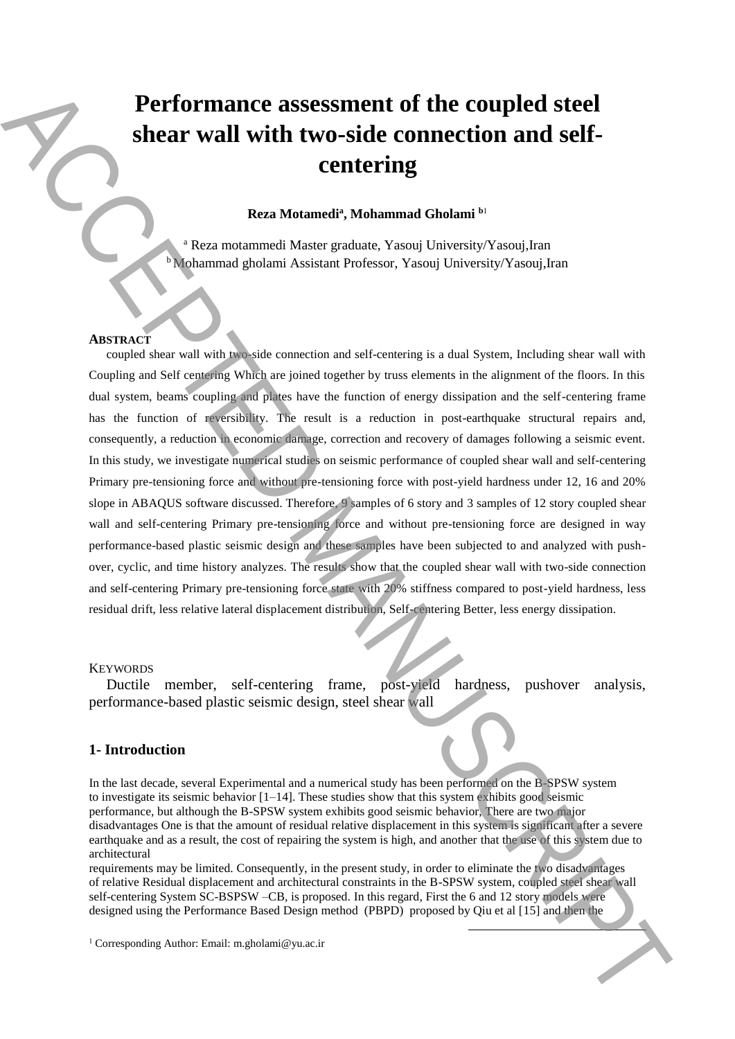# **Performance assessment of the coupled steel shear wall with two-side connection and selfcentering**

**Reza Motamedi<sup>a</sup> , Mohammad Gholami <sup>b</sup>**<sup>1</sup>

<sup>a</sup> Reza motammedi Master graduate, Yasouj University/Yasouj,Iran b Mohammad gholami Assistant Professor, Yasouj University/Yasouj,Iran

#### **ABSTRACT**

coupled shear wall with two-side connection and self-centering is a dual System, Including shear wall with Coupling and Self centering Which are joined together by truss elements in the alignment of the floors. In this dual system, beams coupling and plates have the function of energy dissipation and the self-centering frame has the function of reversibility. The result is a reduction in post-earthquake structural repairs and, consequently, a reduction in economic damage, correction and recovery of damages following a seismic event. In this study, we investigate numerical studies on seismic performance of coupled shear wall and self-centering Primary pre-tensioning force and without pre-tensioning force with post-yield hardness under 12, 16 and 20% slope in ABAQUS software discussed. Therefore, 9 samples of 6 story and 3 samples of 12 story coupled shear wall and self-centering Primary pre-tensioning force and without pre-tensioning force are designed in way performance-based plastic seismic design and these samples have been subjected to and analyzed with pushover, cyclic, and time history analyzes. The results show that the coupled shear wall with two-side connection and self-centering Primary pre-tensioning force state with 20% stiffness compared to post-yield hardness, less residual drift, less relative lateral displacement distribution, Self-centering Better, less energy dissipation. **Performance assessment of the coupled steel<br>
shear wall with two-side connection and self-<br>
corresponding Automatic Manuscript Manuscrip Tengths and the corresponding Author:<br>
Reconstrained points assume the few Young Un** 

#### **KEYWORDS**

Ductile member, self-centering frame, post-yield hardness, pushover analysis, performance-based plastic seismic design, steel shear wall

## **1- Introduction**

In the last decade, several Experimental and a numerical study has been performed on the B-SPSW system to investigate its seismic behavior [1–14]. These studies show that this system exhibits good seismic performance, but although the B-SPSW system exhibits good seismic behavior, There are two major disadvantages One is that the amount of residual relative displacement in this system is significant after a severe earthquake and as a result, the cost of repairing the system is high, and another that the use of this system due to architectural

requirements may be limited. Consequently, in the present study, in order to eliminate the two disadvantages of relative Residual displacement and architectural constraints in the B-SPSW system, coupled steel shear wall self-centering System SC-BSPSW –CB, is proposed. In this regard, First the 6 and 12 story models were designed using the Performance Based Design method (PBPD) proposed by Qiu et al [15] and then the

1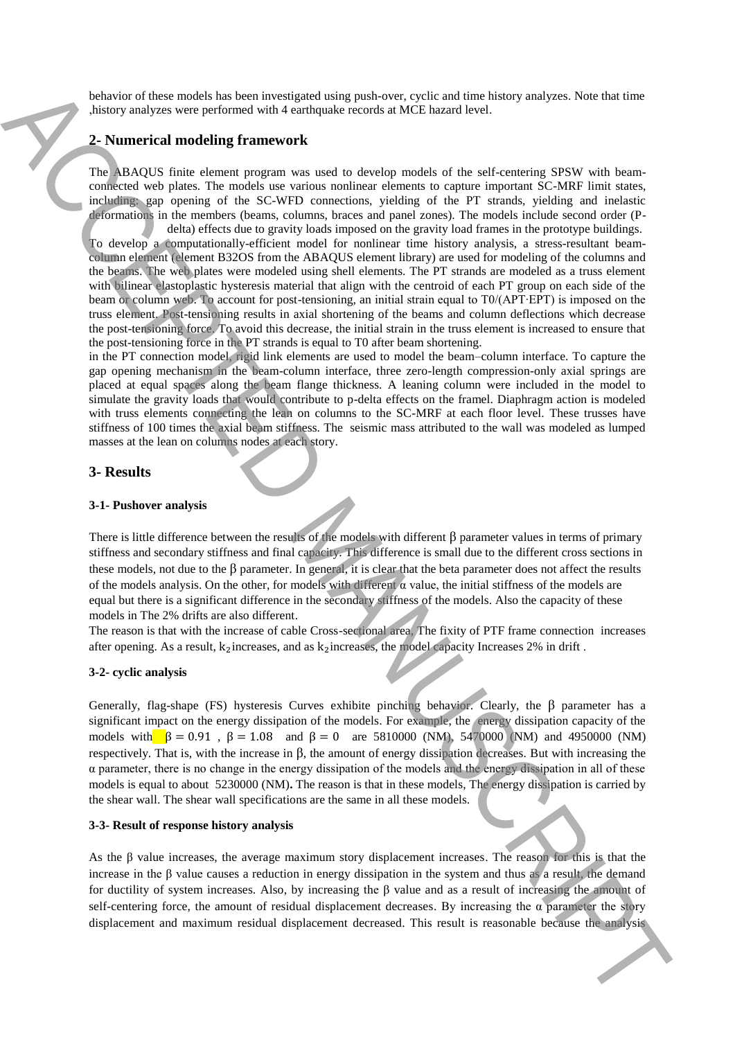behavior of these models has been investigated using push-over, cyclic and time history analyzes. Note that time ,history analyzes were performed with 4 earthquake records at MCE hazard level.

### **2- Numerical modeling framework**

The ABAQUS finite element program was used to develop models of the self-centering SPSW with beamconnected web plates. The models use various nonlinear elements to capture important SC-MRF limit states, including: gap opening of the SC-WFD connections, yielding of the PT strands, yielding and inelastic deformations in the members (beams, columns, braces and panel zones). The models include second order (Pdelta) effects due to gravity loads imposed on the gravity load frames in the prototype buildings.

To develop a computationally-efficient model for nonlinear time history analysis, a stress-resultant beamcolumn element (element B32OS from the ABAQUS element library) are used for modeling of the columns and the beams. The web plates were modeled using shell elements. The PT strands are modeled as a truss element with bilinear elastoplastic hysteresis material that align with the centroid of each PT group on each side of the beam or column web. To account for post-tensioning, an initial strain equal to T0/(APT∙EPT) is imposed on the truss element. Post-tensioning results in axial shortening of the beams and column deflections which decrease the post-tensioning force. To avoid this decrease, the initial strain in the truss element is increased to ensure that the post-tensioning force in the PT strands is equal to T0 after beam shortening. because of the control of the state of the state of the analysis ACCEPTE and the state of the analysis ACCEPTE and maximum residue that the analysis ACCEPTE and the analysis ACCEPTE and the analysis ACCEPTE and maximum re

in the PT connection model, rigid link elements are used to model the beam–column interface. To capture the gap opening mechanism in the beam-column interface, three zero-length compression-only axial springs are placed at equal spaces along the beam flange thickness. A leaning column were included in the model to simulate the gravity loads that would contribute to p-delta effects on the framel. Diaphragm action is modeled with truss elements connecting the lean on columns to the SC-MRF at each floor level. These trusses have stiffness of 100 times the axial beam stiffness. The seismic mass attributed to the wall was modeled as lumped masses at the lean on columns nodes at each story.

#### **3- Results**

#### **3-1- Pushover analysis**

There is little difference between the results of the models with different  $\beta$  parameter values in terms of primary stiffness and secondary stiffness and final capacity. This difference is small due to the different cross sections in these models, not due to the  $\beta$  parameter. In general, it is clear that the beta parameter does not affect the results of the models analysis. On the other, for models with different  $\alpha$  value, the initial stiffness of the models are equal but there is a significant difference in the secondary stiffness of the models. Also the capacity of these models in The 2% drifts are also different.

The reason is that with the increase of cable Cross-sectional area, The fixity of PTF frame connection increases after opening. As a result,  $k_2$  increases, and as  $k_2$  increases, the model capacity Increases 2% in drift.

#### **3-2- cyclic analysis**

Generally, flag-shape (FS) hysteresis Curves exhibite pinching behavior. Clearly, the β parameter has a significant impact on the energy dissipation of the models. For example, the energy dissipation capacity of the models with  $\beta = 0.91$ ,  $\beta = 1.08$  and  $\beta = 0$  are 5810000 (NM), 5470000 (NM) and 4950000 (NM) respectively. That is, with the increase in β, the amount of energy dissipation decreases. But with increasing the  $\alpha$  parameter, there is no change in the energy dissipation of the models and the energy dissipation in all of these models is equal to about 5230000 (NM)**.** The reason is that in these models, The energy dissipation is carried by the shear wall. The shear wall specifications are the same in all these models.

#### **3-3- Result of response history analysis**

As the β value increases, the average maximum story displacement increases. The reason for this is that the increase in the β value causes a reduction in energy dissipation in the system and thus as a result, the demand for ductility of system increases. Also, by increasing the β value and as a result of increasing the amount of self-centering force, the amount of residual displacement decreases. By increasing the  $\alpha$  parameter the story